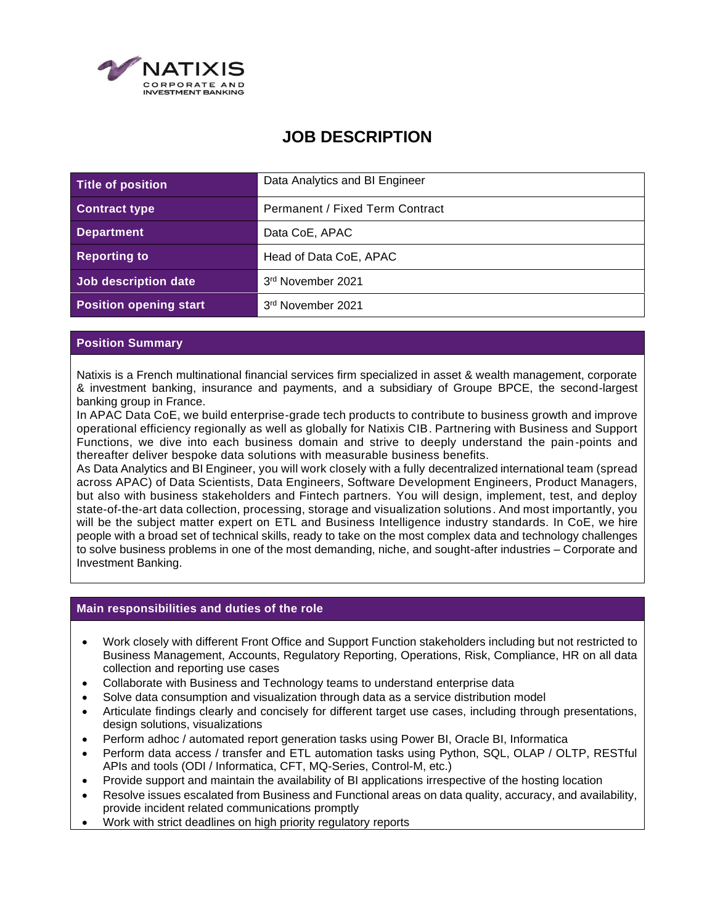

# **JOB DESCRIPTION**

| Title of position             | Data Analytics and BI Engineer  |
|-------------------------------|---------------------------------|
| <b>Contract type</b>          | Permanent / Fixed Term Contract |
| <b>Department</b>             | Data CoE, APAC                  |
| <b>Reporting to</b>           | Head of Data CoE, APAC          |
| Job description date          | 3rd November 2021               |
| <b>Position opening start</b> | 3rd November 2021               |

## **Position Summary**

Natixis is a French multinational financial services firm specialized in asset & wealth management, corporate & investment banking, insurance and payments, and a subsidiary of Groupe BPCE, the second-largest banking group in France.

In APAC Data CoE, we build enterprise-grade tech products to contribute to business growth and improve operational efficiency regionally as well as globally for Natixis CIB. Partnering with Business and Support Functions, we dive into each business domain and strive to deeply understand the pain-points and thereafter deliver bespoke data solutions with measurable business benefits.

As Data Analytics and BI Engineer, you will work closely with a fully decentralized international team (spread across APAC) of Data Scientists, Data Engineers, Software Development Engineers, Product Managers, but also with business stakeholders and Fintech partners. You will design, implement, test, and deploy state-of-the-art data collection, processing, storage and visualization solutions. And most importantly, you will be the subject matter expert on ETL and Business Intelligence industry standards. In CoE, we hire people with a broad set of technical skills, ready to take on the most complex data and technology challenges to solve business problems in one of the most demanding, niche, and sought-after industries – Corporate and Investment Banking.

#### **Main responsibilities and duties of the role**

- Work closely with different Front Office and Support Function stakeholders including but not restricted to Business Management, Accounts, Regulatory Reporting, Operations, Risk, Compliance, HR on all data collection and reporting use cases
- Collaborate with Business and Technology teams to understand enterprise data
- Solve data consumption and visualization through data as a service distribution model
- Articulate findings clearly and concisely for different target use cases, including through presentations, design solutions, visualizations
- Perform adhoc / automated report generation tasks using Power BI, Oracle BI, Informatica
- Perform data access / transfer and ETL automation tasks using Python, SQL, OLAP / OLTP, RESTful APIs and tools (ODI / Informatica, CFT, MQ-Series, Control-M, etc.)
- Provide support and maintain the availability of BI applications irrespective of the hosting location
- Resolve issues escalated from Business and Functional areas on data quality, accuracy, and availability, provide incident related communications promptly
- Work with strict deadlines on high priority regulatory reports